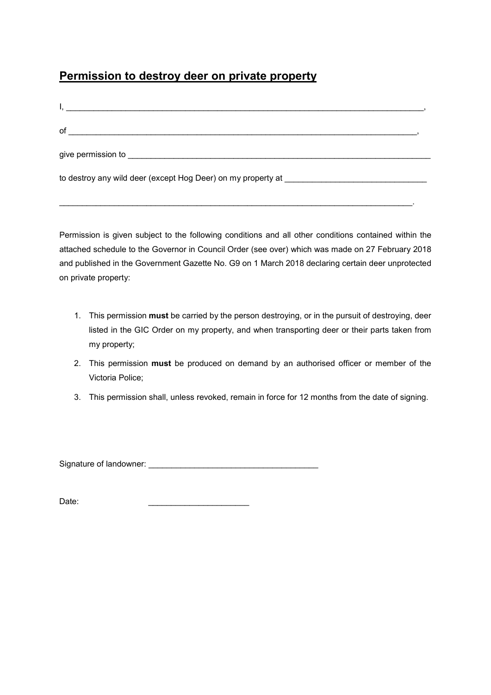## **Permission to destroy deer on private property**

| of<br><u> 1989 - Johann Stoff, amerikansk politiker (d. 1989)</u>                       |  |
|-----------------------------------------------------------------------------------------|--|
|                                                                                         |  |
| to destroy any wild deer (except Hog Deer) on my property at __________________________ |  |
|                                                                                         |  |

Permission is given subject to the following conditions and all other conditions contained within the attached schedule to the Governor in Council Order (see over) which was made on 27 February 2018 and published in the Government Gazette No. G9 on 1 March 2018 declaring certain deer unprotected on private property:

- 1. This permission **must** be carried by the person destroying, or in the pursuit of destroying, deer listed in the GIC Order on my property, and when transporting deer or their parts taken from my property;
- 2. This permission **must** be produced on demand by an authorised officer or member of the Victoria Police;
- 3. This permission shall, unless revoked, remain in force for 12 months from the date of signing.

Signature of landowner: \_\_\_\_\_\_\_\_\_\_\_\_\_\_\_\_\_\_\_\_\_\_\_\_\_\_\_\_\_\_\_\_\_\_\_\_\_

Date: \_\_\_\_\_\_\_\_\_\_\_\_\_\_\_\_\_\_\_\_\_\_